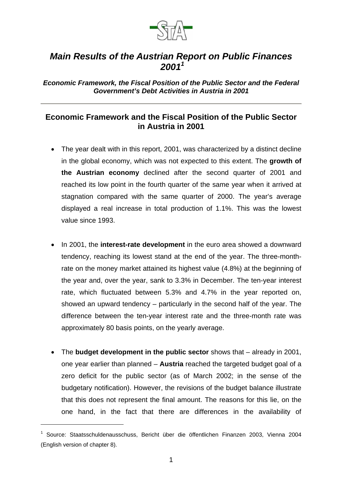

## *Main Results of the Austrian Report on Public Finances 2001<sup>1</sup>*

*Economic Framework, the Fiscal Position of the Public Sector and the Federal Government's Debt Activities in Austria in 2001*

## **Economic Framework and the Fiscal Position of the Public Sector in Austria in 2001**

- The year dealt with in this report, 2001, was characterized by a distinct decline in the global economy, which was not expected to this extent. The **growth of the Austrian economy** declined after the second quarter of 2001 and reached its low point in the fourth quarter of the same year when it arrived at stagnation compared with the same quarter of 2000. The year's average displayed a real increase in total production of 1.1%. This was the lowest value since 1993.
- In 2001, the **interest-rate development** in the euro area showed a downward tendency, reaching its lowest stand at the end of the year. The three-monthrate on the money market attained its highest value (4.8%) at the beginning of the year and, over the year, sank to 3.3% in December. The ten-year interest rate, which fluctuated between 5.3% and 4.7% in the year reported on, showed an upward tendency – particularly in the second half of the year. The difference between the ten-year interest rate and the three-month rate was approximately 80 basis points, on the yearly average.
- The **budget development in the public sector** shows that already in 2001, one year earlier than planned – **Austria** reached the targeted budget goal of a zero deficit for the public sector (as of March 2002; in the sense of the budgetary notification). However, the revisions of the budget balance illustrate that this does not represent the final amount. The reasons for this lie, on the one hand, in the fact that there are differences in the availability of

l

<sup>1</sup> Source: Staatsschuldenausschuss, Bericht über die öffentlichen Finanzen 2003, Vienna 2004 (English version of chapter 8).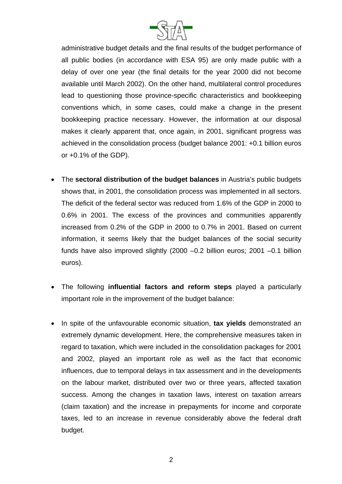

administrative budget details and the final results of the budget performance of all public bodies (in accordance with ESA 95) are only made public with a delay of over one year (the final details for the year 2000 did not become available until March 2002). On the other hand, multilateral control procedures lead to questioning those province-specific characteristics and bookkeeping conventions which, in some cases, could make a change in the present bookkeeping practice necessary. However, the information at our disposal makes it clearly apparent that, once again, in 2001, significant progress was achieved in the consolidation process (budget balance 2001: +0.1 billion euros or +0.1% of the GDP).

- The **sectoral distribution of the budget balances** in Austria's public budgets shows that, in 2001, the consolidation process was implemented in all sectors. The deficit of the federal sector was reduced from 1.6% of the GDP in 2000 to 0.6% in 2001. The excess of the provinces and communities apparently increased from 0.2% of the GDP in 2000 to 0.7% in 2001. Based on current information, it seems likely that the budget balances of the social security funds have also improved slightly (2000 –0.2 billion euros; 2001 –0.1 billion euros).
- The following **influential factors and reform steps** played a particularly important role in the improvement of the budget balance:
- In spite of the unfavourable economic situation, **tax yields** demonstrated an extremely dynamic development. Here, the comprehensive measures taken in regard to taxation, which were included in the consolidation packages for 2001 and 2002, played an important role as well as the fact that economic influences, due to temporal delays in tax assessment and in the developments on the labour market, distributed over two or three years, affected taxation success. Among the changes in taxation laws, interest on taxation arrears (claim taxation) and the increase in prepayments for income and corporate taxes, led to an increase in revenue considerably above the federal draft budget.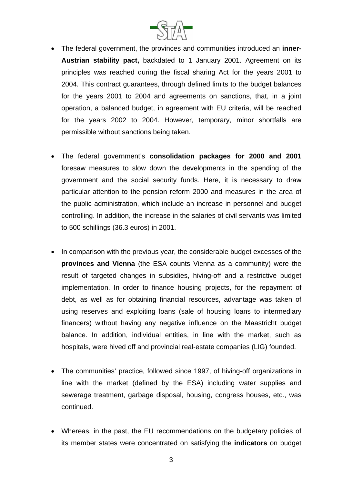

- The federal government, the provinces and communities introduced an **inner-Austrian stability pact,** backdated to 1 January 2001. Agreement on its principles was reached during the fiscal sharing Act for the years 2001 to 2004. This contract guarantees, through defined limits to the budget balances for the years 2001 to 2004 and agreements on sanctions, that, in a joint operation, a balanced budget, in agreement with EU criteria, will be reached for the years 2002 to 2004. However, temporary, minor shortfalls are permissible without sanctions being taken.
- The federal government's **consolidation packages for 2000 and 2001** foresaw measures to slow down the developments in the spending of the government and the social security funds. Here, it is necessary to draw particular attention to the pension reform 2000 and measures in the area of the public administration, which include an increase in personnel and budget controlling. In addition, the increase in the salaries of civil servants was limited to 500 schillings (36.3 euros) in 2001.
- In comparison with the previous year, the considerable budget excesses of the **provinces and Vienna** (the ESA counts Vienna as a community) were the result of targeted changes in subsidies, hiving-off and a restrictive budget implementation. In order to finance housing projects, for the repayment of debt, as well as for obtaining financial resources, advantage was taken of using reserves and exploiting loans (sale of housing loans to intermediary financers) without having any negative influence on the Maastricht budget balance. In addition, individual entities, in line with the market, such as hospitals, were hived off and provincial real-estate companies (LIG) founded.
- The communities' practice, followed since 1997, of hiving-off organizations in line with the market (defined by the ESA) including water supplies and sewerage treatment, garbage disposal, housing, congress houses, etc., was continued.
- Whereas, in the past, the EU recommendations on the budgetary policies of its member states were concentrated on satisfying the **indicators** on budget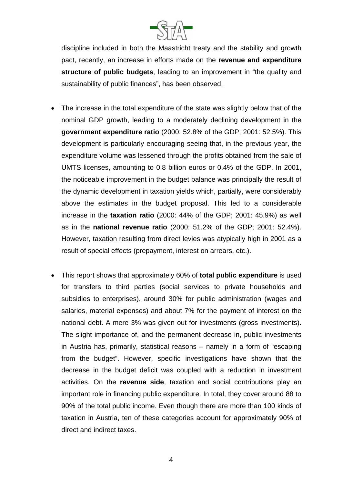

discipline included in both the Maastricht treaty and the stability and growth pact, recently, an increase in efforts made on the **revenue and expenditure structure of public budgets**, leading to an improvement in "the quality and sustainability of public finances", has been observed.

- The increase in the total expenditure of the state was slightly below that of the nominal GDP growth, leading to a moderately declining development in the **government expenditure ratio** (2000: 52.8% of the GDP; 2001: 52.5%). This development is particularly encouraging seeing that, in the previous year, the expenditure volume was lessened through the profits obtained from the sale of UMTS licenses, amounting to 0.8 billion euros or 0.4% of the GDP. In 2001, the noticeable improvement in the budget balance was principally the result of the dynamic development in taxation yields which, partially, were considerably above the estimates in the budget proposal. This led to a considerable increase in the **taxation ratio** (2000: 44% of the GDP; 2001: 45.9%) as well as in the **national revenue ratio** (2000: 51.2% of the GDP; 2001: 52.4%). However, taxation resulting from direct levies was atypically high in 2001 as a result of special effects (prepayment, interest on arrears, etc.).
- This report shows that approximately 60% of **total public expenditure** is used for transfers to third parties (social services to private households and subsidies to enterprises), around 30% for public administration (wages and salaries, material expenses) and about 7% for the payment of interest on the national debt. A mere 3% was given out for investments (gross investments). The slight importance of, and the permanent decrease in, public investments in Austria has, primarily, statistical reasons – namely in a form of "escaping from the budget". However, specific investigations have shown that the decrease in the budget deficit was coupled with a reduction in investment activities. On the **revenue side**, taxation and social contributions play an important role in financing public expenditure. In total, they cover around 88 to 90% of the total public income. Even though there are more than 100 kinds of taxation in Austria, ten of these categories account for approximately 90% of direct and indirect taxes.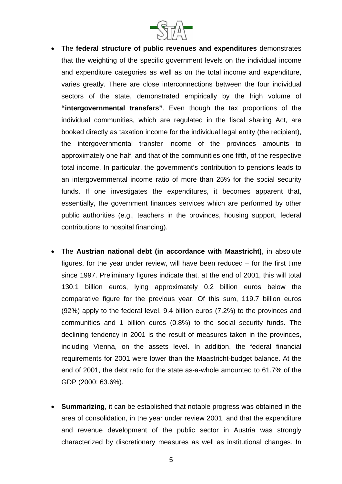

- The **federal structure of public revenues and expenditures** demonstrates that the weighting of the specific government levels on the individual income and expenditure categories as well as on the total income and expenditure, varies greatly. There are close interconnections between the four individual sectors of the state, demonstrated empirically by the high volume of **"intergovernmental transfers"**. Even though the tax proportions of the individual communities, which are regulated in the fiscal sharing Act, are booked directly as taxation income for the individual legal entity (the recipient), the intergovernmental transfer income of the provinces amounts to approximately one half, and that of the communities one fifth, of the respective total income. In particular, the government's contribution to pensions leads to an intergovernmental income ratio of more than 25% for the social security funds. If one investigates the expenditures, it becomes apparent that, essentially, the government finances services which are performed by other public authorities (e.g., teachers in the provinces, housing support, federal contributions to hospital financing).
- The **Austrian national debt (in accordance with Maastricht)**, in absolute figures, for the year under review, will have been reduced – for the first time since 1997. Preliminary figures indicate that, at the end of 2001, this will total 130.1 billion euros, lying approximately 0.2 billion euros below the comparative figure for the previous year. Of this sum, 119.7 billion euros (92%) apply to the federal level, 9.4 billion euros (7.2%) to the provinces and communities and 1 billion euros (0.8%) to the social security funds. The declining tendency in 2001 is the result of measures taken in the provinces, including Vienna, on the assets level. In addition, the federal financial requirements for 2001 were lower than the Maastricht-budget balance. At the end of 2001, the debt ratio for the state as-a-whole amounted to 61.7% of the GDP (2000: 63.6%).
- **Summarizing**, it can be established that notable progress was obtained in the area of consolidation, in the year under review 2001, and that the expenditure and revenue development of the public sector in Austria was strongly characterized by discretionary measures as well as institutional changes. In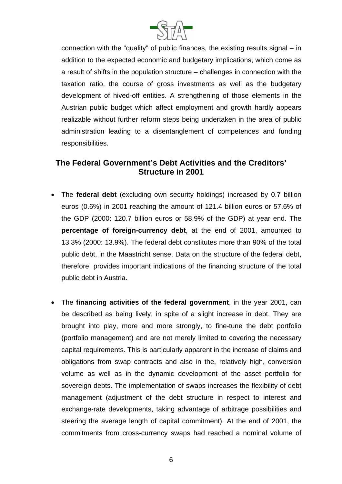

connection with the "quality" of public finances, the existing results signal – in addition to the expected economic and budgetary implications, which come as a result of shifts in the population structure – challenges in connection with the taxation ratio, the course of gross investments as well as the budgetary development of hived-off entities. A strengthening of those elements in the Austrian public budget which affect employment and growth hardly appears realizable without further reform steps being undertaken in the area of public administration leading to a disentanglement of competences and funding responsibilities.

## **The Federal Government's Debt Activities and the Creditors' Structure in 2001**

- The **federal debt** (excluding own security holdings) increased by 0.7 billion euros (0.6%) in 2001 reaching the amount of 121.4 billion euros or 57.6% of the GDP (2000: 120.7 billion euros or 58.9% of the GDP) at year end. The **percentage of foreign-currency debt**, at the end of 2001, amounted to 13.3% (2000: 13.9%). The federal debt constitutes more than 90% of the total public debt, in the Maastricht sense. Data on the structure of the federal debt, therefore, provides important indications of the financing structure of the total public debt in Austria.
- The **financing activities of the federal government**, in the year 2001, can be described as being lively, in spite of a slight increase in debt. They are brought into play, more and more strongly, to fine-tune the debt portfolio (portfolio management) and are not merely limited to covering the necessary capital requirements. This is particularly apparent in the increase of claims and obligations from swap contracts and also in the, relatively high, conversion volume as well as in the dynamic development of the asset portfolio for sovereign debts. The implementation of swaps increases the flexibility of debt management (adjustment of the debt structure in respect to interest and exchange-rate developments, taking advantage of arbitrage possibilities and steering the average length of capital commitment). At the end of 2001, the commitments from cross-currency swaps had reached a nominal volume of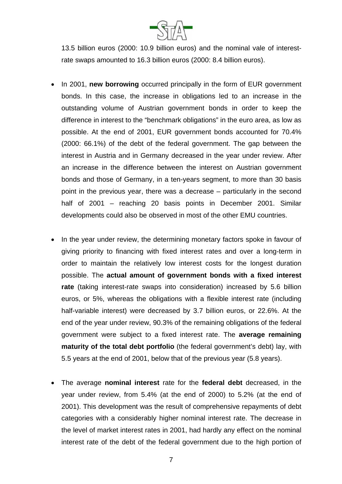

13.5 billion euros (2000: 10.9 billion euros) and the nominal vale of interestrate swaps amounted to 16.3 billion euros (2000: 8.4 billion euros).

- In 2001, **new borrowing** occurred principally in the form of EUR government bonds. In this case, the increase in obligations led to an increase in the outstanding volume of Austrian government bonds in order to keep the difference in interest to the "benchmark obligations" in the euro area, as low as possible. At the end of 2001, EUR government bonds accounted for 70.4% (2000: 66.1%) of the debt of the federal government. The gap between the interest in Austria and in Germany decreased in the year under review. After an increase in the difference between the interest on Austrian government bonds and those of Germany, in a ten-years segment, to more than 30 basis point in the previous year, there was a decrease – particularly in the second half of 2001 – reaching 20 basis points in December 2001. Similar developments could also be observed in most of the other EMU countries.
- In the year under review, the determining monetary factors spoke in favour of giving priority to financing with fixed interest rates and over a long-term in order to maintain the relatively low interest costs for the longest duration possible. The **actual amount of government bonds with a fixed interest rate** (taking interest-rate swaps into consideration) increased by 5.6 billion euros, or 5%, whereas the obligations with a flexible interest rate (including half-variable interest) were decreased by 3.7 billion euros, or 22.6%. At the end of the year under review, 90.3% of the remaining obligations of the federal government were subject to a fixed interest rate. The **average remaining maturity of the total debt portfolio** (the federal government's debt) lay, with 5.5 years at the end of 2001, below that of the previous year (5.8 years).
- The average **nominal interest** rate for the **federal debt** decreased, in the year under review, from 5.4% (at the end of 2000) to 5.2% (at the end of 2001). This development was the result of comprehensive repayments of debt categories with a considerably higher nominal interest rate. The decrease in the level of market interest rates in 2001, had hardly any effect on the nominal interest rate of the debt of the federal government due to the high portion of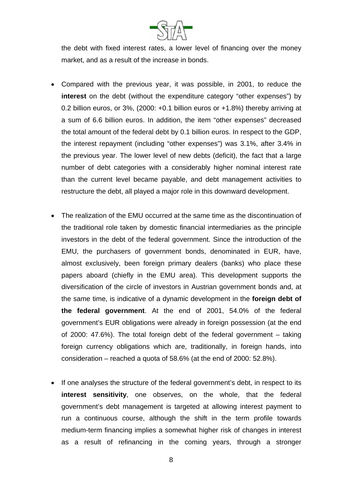

the debt with fixed interest rates, a lower level of financing over the money market, and as a result of the increase in bonds.

- Compared with the previous year, it was possible, in 2001, to reduce the **interest** on the debt (without the expenditure category "other expenses") by 0.2 billion euros, or  $3\%$ , (2000:  $+0.1$  billion euros or  $+1.8\%$ ) thereby arriving at a sum of 6.6 billion euros. In addition, the item "other expenses" decreased the total amount of the federal debt by 0.1 billion euros. In respect to the GDP, the interest repayment (including "other expenses") was 3.1%, after 3.4% in the previous year. The lower level of new debts (deficit), the fact that a large number of debt categories with a considerably higher nominal interest rate than the current level became payable, and debt management activities to restructure the debt, all played a major role in this downward development.
- The realization of the EMU occurred at the same time as the discontinuation of the traditional role taken by domestic financial intermediaries as the principle investors in the debt of the federal government. Since the introduction of the EMU, the purchasers of government bonds, denominated in EUR, have, almost exclusively, been foreign primary dealers (banks) who place these papers aboard (chiefly in the EMU area). This development supports the diversification of the circle of investors in Austrian government bonds and, at the same time, is indicative of a dynamic development in the **foreign debt of the federal government**. At the end of 2001, 54.0% of the federal government's EUR obligations were already in foreign possession (at the end of 2000: 47.6%). The total foreign debt of the federal government – taking foreign currency obligations which are, traditionally, in foreign hands, into consideration – reached a quota of 58.6% (at the end of 2000: 52.8%).
- If one analyses the structure of the federal government's debt, in respect to its **interest sensitivity**, one observes, on the whole, that the federal government's debt management is targeted at allowing interest payment to run a continuous course, although the shift in the term profile towards medium-term financing implies a somewhat higher risk of changes in interest as a result of refinancing in the coming years, through a stronger